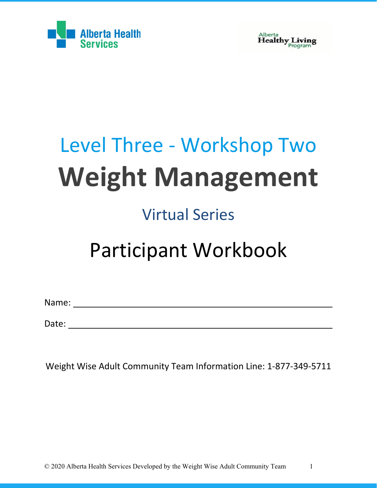

Alberta<br>**Healthy Living** 

# Level Three - Workshop Two **Weight Management**

### Virtual Series

## Participant Workbook

Name:

Date: when the contract of the contract of the contract of the contract of the contract of the contract of the contract of the contract of the contract of the contract of the contract of the contract of the contract of the

Weight Wise Adult Community Team Information Line: 1-877-349-5711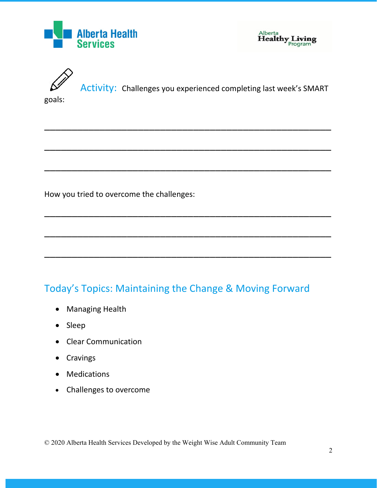





Activity: Challenges you experienced completing last week's SMART

\_\_\_\_\_\_\_\_\_\_\_\_\_\_\_\_\_\_\_\_\_\_\_\_\_\_\_\_\_\_\_\_\_\_\_\_\_\_\_\_\_\_\_\_\_\_\_\_\_\_\_\_

\_\_\_\_\_\_\_\_\_\_\_\_\_\_\_\_\_\_\_\_\_\_\_\_\_\_\_\_\_\_\_\_\_\_\_\_\_\_\_\_\_\_\_\_\_\_\_\_\_\_\_\_

\_\_\_\_\_\_\_\_\_\_\_\_\_\_\_\_\_\_\_\_\_\_\_\_\_\_\_\_\_\_\_\_\_\_\_\_\_\_\_\_\_\_\_\_\_\_\_\_\_\_\_\_

\_\_\_\_\_\_\_\_\_\_\_\_\_\_\_\_\_\_\_\_\_\_\_\_\_\_\_\_\_\_\_\_\_\_\_\_\_\_\_\_\_\_\_\_\_\_\_\_\_\_\_\_

\_\_\_\_\_\_\_\_\_\_\_\_\_\_\_\_\_\_\_\_\_\_\_\_\_\_\_\_\_\_\_\_\_\_\_\_\_\_\_\_\_\_\_\_\_\_\_\_\_\_\_\_

\_\_\_\_\_\_\_\_\_\_\_\_\_\_\_\_\_\_\_\_\_\_\_\_\_\_\_\_\_\_\_\_\_\_\_\_\_\_\_\_\_\_\_\_\_\_\_\_\_\_\_\_

goals:

How you tried to overcome the challenges:

#### Today's Topics: Maintaining the Change & Moving Forward

- Managing Health
- Sleep
- Clear Communication
- Cravings
- Medications
- Challenges to overcome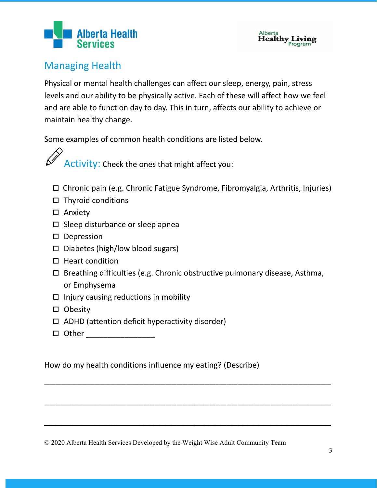## **Alberta Health**



#### Managing Health

Physical or mental health challenges can affect our sleep, energy, pain, stress levels and our ability to be physically active. Each of these will affect how we feel and are able to function day to day. This in turn, affects our ability to achieve or maintain healthy change.

Some examples of common health conditions are listed below.

Activity: Check the ones that might affect you:

- Chronic pain (e.g. Chronic Fatigue Syndrome, Fibromyalgia, Arthritis, Injuries)
- $\Box$  Thyroid conditions
- □ Anxiety
- $\square$  Sleep disturbance or sleep apnea
- D Depression
- $\square$  Diabetes (high/low blood sugars)
- $\Box$  Heart condition
- $\square$  Breathing difficulties (e.g. Chronic obstructive pulmonary disease, Asthma, or Emphysema

\_\_\_\_\_\_\_\_\_\_\_\_\_\_\_\_\_\_\_\_\_\_\_\_\_\_\_\_\_\_\_\_\_\_\_\_\_\_\_\_\_\_\_\_\_\_\_\_\_\_\_\_

\_\_\_\_\_\_\_\_\_\_\_\_\_\_\_\_\_\_\_\_\_\_\_\_\_\_\_\_\_\_\_\_\_\_\_\_\_\_\_\_\_\_\_\_\_\_\_\_\_\_\_\_

\_\_\_\_\_\_\_\_\_\_\_\_\_\_\_\_\_\_\_\_\_\_\_\_\_\_\_\_\_\_\_\_\_\_\_\_\_\_\_\_\_\_\_\_\_\_\_\_\_\_\_\_

- $\Box$  Injury causing reductions in mobility
- $\square$  Obesity
- $\Box$  ADHD (attention deficit hyperactivity disorder)
- Other \_\_\_\_\_\_\_\_\_\_\_\_\_\_\_\_

How do my health conditions influence my eating? (Describe)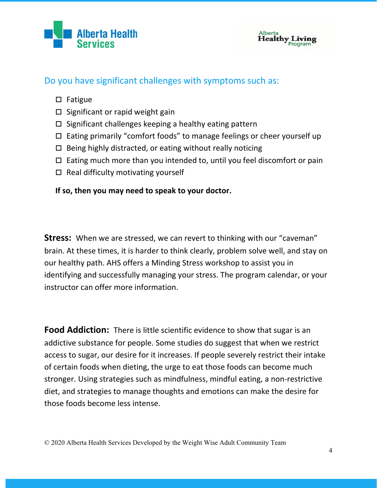



#### Do you have significant challenges with symptoms such as:

- $\square$  Fatigue
- $\square$  Significant or rapid weight gain
- $\square$  Significant challenges keeping a healthy eating pattern
- $\Box$  Eating primarily "comfort foods" to manage feelings or cheer yourself up
- $\Box$  Being highly distracted, or eating without really noticing
- $\Box$  Eating much more than you intended to, until you feel discomfort or pain
- $\Box$  Real difficulty motivating yourself

#### **If so, then you may need to speak to your doctor.**

**Stress:** When we are stressed, we can revert to thinking with our "caveman" brain. At these times, it is harder to think clearly, problem solve well, and stay on our healthy path. AHS offers a Minding Stress workshop to assist you in identifying and successfully managing your stress. The program calendar, or your instructor can offer more information.

**Food Addiction:** There is little scientific evidence to show that sugar is an addictive substance for people. Some studies do suggest that when we restrict access to sugar, our desire for it increases. If people severely restrict their intake of certain foods when dieting, the urge to eat those foods can become much stronger. Using strategies such as mindfulness, mindful eating, a non-restrictive diet, and strategies to manage thoughts and emotions can make the desire for those foods become less intense.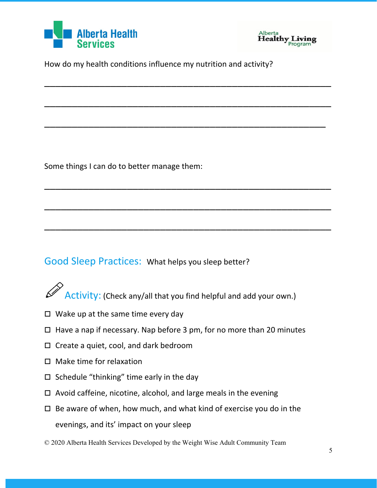



How do my health conditions influence my nutrition and activity?

\_\_\_\_\_\_\_\_\_\_\_\_\_\_\_\_\_\_\_\_\_\_\_\_\_\_\_\_\_\_\_\_\_\_\_\_\_\_\_\_\_\_\_\_\_\_\_\_\_\_\_\_

\_\_\_\_\_\_\_\_\_\_\_\_\_\_\_\_\_\_\_\_\_\_\_\_\_\_\_\_\_\_\_\_\_\_\_\_\_\_\_\_\_\_\_\_\_\_\_\_\_\_\_\_

\_\_\_\_\_\_\_\_\_\_\_\_\_\_\_\_\_\_\_\_\_\_\_\_\_\_\_\_\_\_\_\_\_\_\_\_\_\_\_\_\_\_\_\_\_\_\_\_\_\_\_

\_\_\_\_\_\_\_\_\_\_\_\_\_\_\_\_\_\_\_\_\_\_\_\_\_\_\_\_\_\_\_\_\_\_\_\_\_\_\_\_\_\_\_\_\_\_\_\_\_\_\_\_

\_\_\_\_\_\_\_\_\_\_\_\_\_\_\_\_\_\_\_\_\_\_\_\_\_\_\_\_\_\_\_\_\_\_\_\_\_\_\_\_\_\_\_\_\_\_\_\_\_\_\_\_

\_\_\_\_\_\_\_\_\_\_\_\_\_\_\_\_\_\_\_\_\_\_\_\_\_\_\_\_\_\_\_\_\_\_\_\_\_\_\_\_\_\_\_\_\_\_\_\_\_\_\_\_

Some things I can do to better manage them:

#### Good Sleep Practices: What helps you sleep better?

- Activity: (Check any/all that you find helpful and add your own.)
- $\Box$  Wake up at the same time every day
- $\Box$  Have a nap if necessary. Nap before 3 pm, for no more than 20 minutes
- $\Box$  Create a quiet, cool, and dark bedroom
- $\Box$  Make time for relaxation
- $\Box$  Schedule "thinking" time early in the day
- $\Box$  Avoid caffeine, nicotine, alcohol, and large meals in the evening
- $\Box$  Be aware of when, how much, and what kind of exercise you do in the evenings, and its' impact on your sleep
- © 2020 Alberta Health Services Developed by the Weight Wise Adult Community Team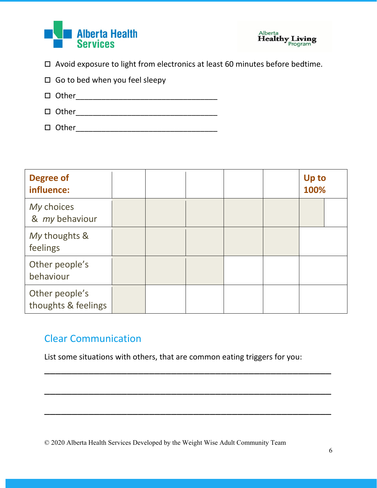



 $\Box$  Avoid exposure to light from electronics at least 60 minutes before bedtime.

| $\Box$ Go to bed when you feel sleepy |
|---------------------------------------|
|---------------------------------------|

- Other\_\_\_\_\_\_\_\_\_\_\_\_\_\_\_\_\_\_\_\_\_\_\_\_\_\_\_\_\_\_\_\_\_
- Other\_\_\_\_\_\_\_\_\_\_\_\_\_\_\_\_\_\_\_\_\_\_\_\_\_\_\_\_\_\_\_\_\_
- Other\_\_\_\_\_\_\_\_\_\_\_\_\_\_\_\_\_\_\_\_\_\_\_\_\_\_\_\_\_\_\_\_\_

| <b>Degree of</b><br>influence:        |  |  | <b>Up to</b><br>100% |
|---------------------------------------|--|--|----------------------|
| My choices<br>& my behaviour          |  |  |                      |
| My thoughts &<br>feelings             |  |  |                      |
| Other people's<br>behaviour           |  |  |                      |
| Other people's<br>thoughts & feelings |  |  |                      |

#### Clear Communication

List some situations with others, that are common eating triggers for you:

\_\_\_\_\_\_\_\_\_\_\_\_\_\_\_\_\_\_\_\_\_\_\_\_\_\_\_\_\_\_\_\_\_\_\_\_\_\_\_\_\_\_\_\_\_\_\_\_\_\_\_\_

\_\_\_\_\_\_\_\_\_\_\_\_\_\_\_\_\_\_\_\_\_\_\_\_\_\_\_\_\_\_\_\_\_\_\_\_\_\_\_\_\_\_\_\_\_\_\_\_\_\_\_\_

\_\_\_\_\_\_\_\_\_\_\_\_\_\_\_\_\_\_\_\_\_\_\_\_\_\_\_\_\_\_\_\_\_\_\_\_\_\_\_\_\_\_\_\_\_\_\_\_\_\_\_\_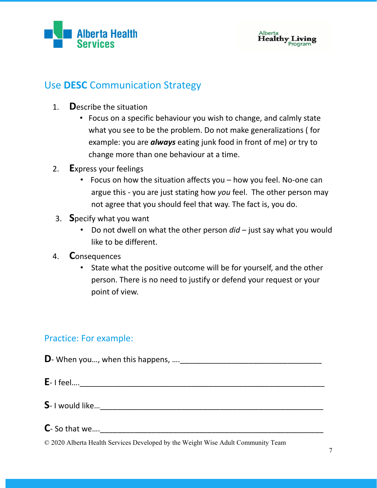



#### Use **DESC** Communication Strategy

- 1. **D**escribe the situation
	- Focus on a specific behaviour you wish to change, and calmly state what you see to be the problem. Do not make generalizations ( for example: you are *always* eating junk food in front of me) or try to change more than one behaviour at a time.
- 2. **E**xpress your feelings
	- Focus on how the situation affects you how you feel. No-one can argue this - you are just stating how *you* feel. The other person may not agree that you should feel that way. The fact is, you do.
- 3. **S**pecify what you want
	- Do not dwell on what the other person *did* just say what you would like to be different.
- 4. **C**onsequences
	- State what the positive outcome will be for yourself, and the other person. There is no need to justify or defend your request or your point of view.

#### Practice: For example:

**D**- When you…, when this happens, ….\_\_\_\_\_\_\_\_\_\_\_\_\_\_\_\_\_\_\_\_\_\_\_\_\_\_\_\_\_\_\_\_\_

**E**- I feel….\_\_\_\_\_\_\_\_\_\_\_\_\_\_\_\_\_\_\_\_\_\_\_\_\_\_\_\_\_\_\_\_\_\_\_\_\_\_\_\_\_\_\_\_\_\_\_\_\_\_\_\_\_\_\_\_\_

- **S** I would like…\_\_\_\_\_\_\_\_\_\_\_\_\_\_\_\_\_\_\_\_\_\_\_\_\_\_\_\_\_\_\_\_\_\_\_\_\_\_\_\_\_\_\_\_\_\_\_\_\_\_\_\_
- **C** So that we….\_\_\_\_\_\_\_\_\_\_\_\_\_\_\_\_\_\_\_\_\_\_\_\_\_\_\_\_\_\_\_\_\_\_\_\_\_\_\_\_\_\_\_\_\_\_\_\_\_\_\_\_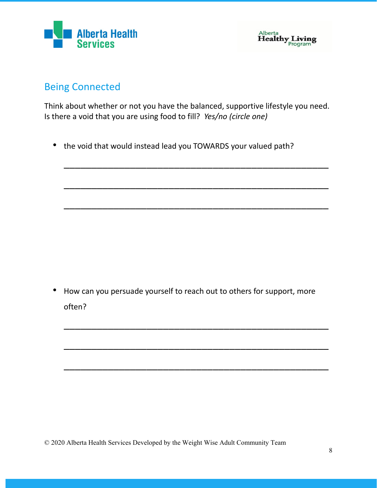



#### Being Connected

Think about whether or not you have the balanced, supportive lifestyle you need. Is there a void that you are using food to fill? *Yes/no (circle one)*

\_\_\_\_\_\_\_\_\_\_\_\_\_\_\_\_\_\_\_\_\_\_\_\_\_\_\_\_\_\_\_\_\_\_\_\_\_\_\_\_\_\_\_\_\_\_\_\_

\_\_\_\_\_\_\_\_\_\_\_\_\_\_\_\_\_\_\_\_\_\_\_\_\_\_\_\_\_\_\_\_\_\_\_\_\_\_\_\_\_\_\_\_\_\_\_\_

\_\_\_\_\_\_\_\_\_\_\_\_\_\_\_\_\_\_\_\_\_\_\_\_\_\_\_\_\_\_\_\_\_\_\_\_\_\_\_\_\_\_\_\_\_\_\_\_

• the void that would instead lead you TOWARDS your valued path?

• How can you persuade yourself to reach out to others for support, more often?

\_\_\_\_\_\_\_\_\_\_\_\_\_\_\_\_\_\_\_\_\_\_\_\_\_\_\_\_\_\_\_\_\_\_\_\_\_\_\_\_\_\_\_\_\_\_\_\_

\_\_\_\_\_\_\_\_\_\_\_\_\_\_\_\_\_\_\_\_\_\_\_\_\_\_\_\_\_\_\_\_\_\_\_\_\_\_\_\_\_\_\_\_\_\_\_\_

\_\_\_\_\_\_\_\_\_\_\_\_\_\_\_\_\_\_\_\_\_\_\_\_\_\_\_\_\_\_\_\_\_\_\_\_\_\_\_\_\_\_\_\_\_\_\_\_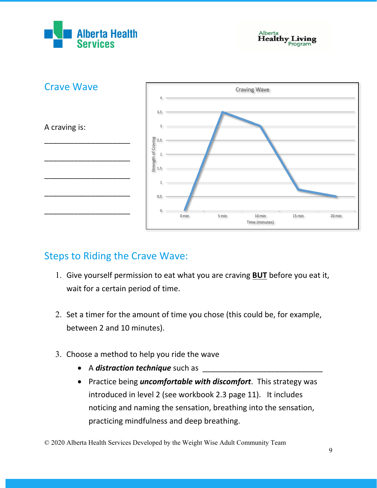





#### Steps to Riding the Crave Wave:

- 1. Give yourself permission to eat what you are craving **BUT** before you eat it, wait for a certain period of time.
- 2. Set a timer for the amount of time you chose (this could be, for example, between 2 and 10 minutes).
- 3. Choose a method to help you ride the wave
	- A *distraction technique* such as
	- Practice being *uncomfortable with discomfort*. This strategy was introduced in level 2 (see workbook 2.3 page 11). It includes noticing and naming the sensation, breathing into the sensation, practicing mindfulness and deep breathing.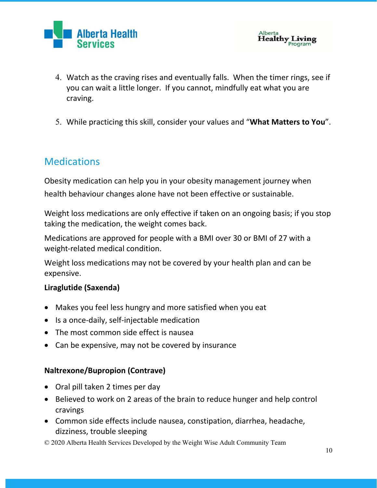



- 4. Watch as the craving rises and eventually falls. When the timer rings, see if you can wait a little longer. If you cannot, mindfully eat what you are craving.
- 5. While practicing this skill, consider your values and "**What Matters to You**".

#### **Medications**

Obesity medication can help you in your obesity management journey when health behaviour changes alone have not been effective or sustainable.

Weight loss medications are only effective if taken on an ongoing basis; if you stop taking the medication, the weight comes back.

Medications are approved for people with a BMI over 30 or BMI of 27 with a weight-related medical condition.

Weight loss medications may not be covered by your health plan and can be expensive.

#### **Liraglutide (Saxenda)**

- Makes you feel less hungry and more satisfied when you eat
- Is a once-daily, self-injectable medication
- The most common side effect is nausea
- Can be expensive, may not be covered by insurance

#### **Naltrexone/Bupropion (Contrave)**

- Oral pill taken 2 times per day
- Believed to work on 2 areas of the brain to reduce hunger and help control cravings
- Common side effects include nausea, constipation, diarrhea, headache, dizziness, trouble sleeping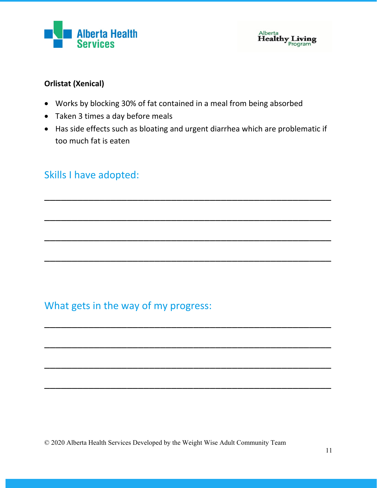



#### **Orlistat (Xenical)**

- Works by blocking 30% of fat contained in a meal from being absorbed
- Taken 3 times a day before meals
- Has side effects such as bloating and urgent diarrhea which are problematic if too much fat is eaten

\_\_\_\_\_\_\_\_\_\_\_\_\_\_\_\_\_\_\_\_\_\_\_\_\_\_\_\_\_\_\_\_\_\_\_\_\_\_\_\_\_\_\_\_\_\_\_\_\_\_\_\_

\_\_\_\_\_\_\_\_\_\_\_\_\_\_\_\_\_\_\_\_\_\_\_\_\_\_\_\_\_\_\_\_\_\_\_\_\_\_\_\_\_\_\_\_\_\_\_\_\_\_\_\_

\_\_\_\_\_\_\_\_\_\_\_\_\_\_\_\_\_\_\_\_\_\_\_\_\_\_\_\_\_\_\_\_\_\_\_\_\_\_\_\_\_\_\_\_\_\_\_\_\_\_\_\_

\_\_\_\_\_\_\_\_\_\_\_\_\_\_\_\_\_\_\_\_\_\_\_\_\_\_\_\_\_\_\_\_\_\_\_\_\_\_\_\_\_\_\_\_\_\_\_\_\_\_\_\_

\_\_\_\_\_\_\_\_\_\_\_\_\_\_\_\_\_\_\_\_\_\_\_\_\_\_\_\_\_\_\_\_\_\_\_\_\_\_\_\_\_\_\_\_\_\_\_\_\_\_\_\_

\_\_\_\_\_\_\_\_\_\_\_\_\_\_\_\_\_\_\_\_\_\_\_\_\_\_\_\_\_\_\_\_\_\_\_\_\_\_\_\_\_\_\_\_\_\_\_\_\_\_\_\_

\_\_\_\_\_\_\_\_\_\_\_\_\_\_\_\_\_\_\_\_\_\_\_\_\_\_\_\_\_\_\_\_\_\_\_\_\_\_\_\_\_\_\_\_\_\_\_\_\_\_\_\_

\_\_\_\_\_\_\_\_\_\_\_\_\_\_\_\_\_\_\_\_\_\_\_\_\_\_\_\_\_\_\_\_\_\_\_\_\_\_\_\_\_\_\_\_\_\_\_\_\_\_\_\_

#### Skills I have adopted:

What gets in the way of my progress: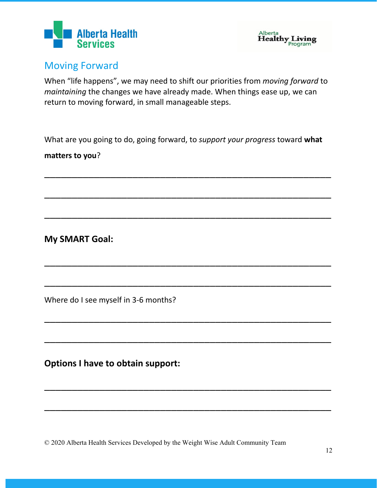



#### Moving Forward

When "life happens", we may need to shift our priorities from *moving forward* to *maintaining* the changes we have already made. When things ease up, we can return to moving forward, in small manageable steps.

What are you going to do, going forward, to *support your progress* toward **what** 

\_\_\_\_\_\_\_\_\_\_\_\_\_\_\_\_\_\_\_\_\_\_\_\_\_\_\_\_\_\_\_\_\_\_\_\_\_\_\_\_\_\_\_\_\_\_\_\_\_\_\_\_

\_\_\_\_\_\_\_\_\_\_\_\_\_\_\_\_\_\_\_\_\_\_\_\_\_\_\_\_\_\_\_\_\_\_\_\_\_\_\_\_\_\_\_\_\_\_\_\_\_\_\_\_

\_\_\_\_\_\_\_\_\_\_\_\_\_\_\_\_\_\_\_\_\_\_\_\_\_\_\_\_\_\_\_\_\_\_\_\_\_\_\_\_\_\_\_\_\_\_\_\_\_\_\_\_

\_\_\_\_\_\_\_\_\_\_\_\_\_\_\_\_\_\_\_\_\_\_\_\_\_\_\_\_\_\_\_\_\_\_\_\_\_\_\_\_\_\_\_\_\_\_\_\_\_\_\_\_

\_\_\_\_\_\_\_\_\_\_\_\_\_\_\_\_\_\_\_\_\_\_\_\_\_\_\_\_\_\_\_\_\_\_\_\_\_\_\_\_\_\_\_\_\_\_\_\_\_\_\_\_

\_\_\_\_\_\_\_\_\_\_\_\_\_\_\_\_\_\_\_\_\_\_\_\_\_\_\_\_\_\_\_\_\_\_\_\_\_\_\_\_\_\_\_\_\_\_\_\_\_\_\_\_

\_\_\_\_\_\_\_\_\_\_\_\_\_\_\_\_\_\_\_\_\_\_\_\_\_\_\_\_\_\_\_\_\_\_\_\_\_\_\_\_\_\_\_\_\_\_\_\_\_\_\_\_

\_\_\_\_\_\_\_\_\_\_\_\_\_\_\_\_\_\_\_\_\_\_\_\_\_\_\_\_\_\_\_\_\_\_\_\_\_\_\_\_\_\_\_\_\_\_\_\_\_\_\_\_

\_\_\_\_\_\_\_\_\_\_\_\_\_\_\_\_\_\_\_\_\_\_\_\_\_\_\_\_\_\_\_\_\_\_\_\_\_\_\_\_\_\_\_\_\_\_\_\_\_\_\_\_

**matters to you**?

**My SMART Goal:**

Where do I see myself in 3-6 months?

**Options I have to obtain support:**